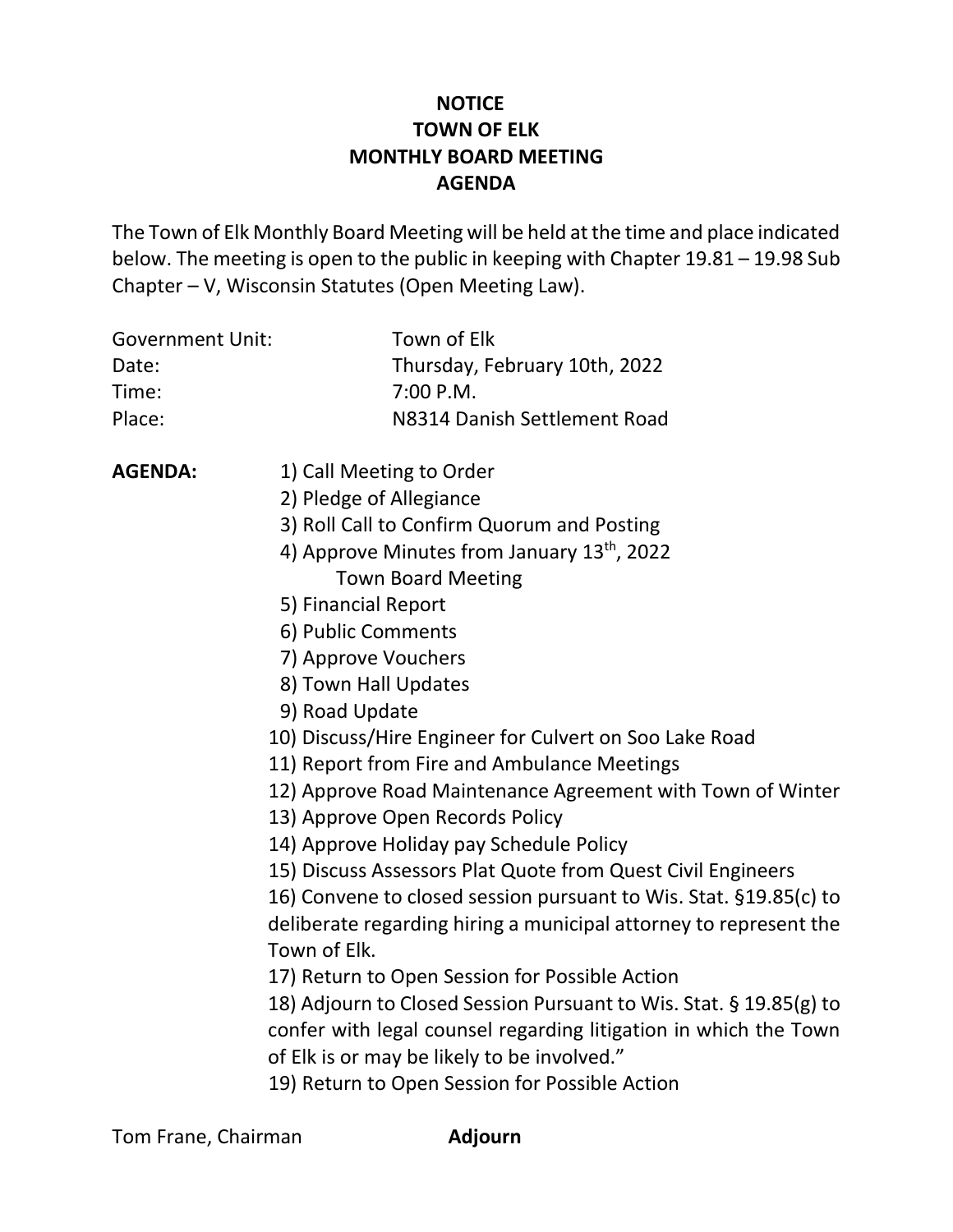# **NOTICE TOWN OF ELK MONTHLY BOARD MEETING AGENDA**

The Town of Elk Monthly Board Meeting will be held at the time and place indicated below. The meeting is open to the public in keeping with Chapter 19.81 – 19.98 Sub Chapter – V, Wisconsin Statutes (Open Meeting Law).

| <b>Government Unit:</b> | Town of Elk                                                        |
|-------------------------|--------------------------------------------------------------------|
| Date:                   | Thursday, February 10th, 2022                                      |
| Time:                   | 7:00 P.M.                                                          |
| Place:                  | N8314 Danish Settlement Road                                       |
| <b>AGENDA:</b>          | 1) Call Meeting to Order                                           |
|                         | 2) Pledge of Allegiance                                            |
|                         | 3) Roll Call to Confirm Quorum and Posting                         |
|                         | 4) Approve Minutes from January 13 <sup>th</sup> , 2022            |
|                         | <b>Town Board Meeting</b>                                          |
|                         | 5) Financial Report                                                |
|                         | 6) Public Comments                                                 |
|                         | 7) Approve Vouchers                                                |
|                         | 8) Town Hall Updates                                               |
|                         | 9) Road Update                                                     |
|                         | 10) Discuss/Hire Engineer for Culvert on Soo Lake Road             |
|                         | 11) Report from Fire and Ambulance Meetings                        |
|                         | 12) Approve Road Maintenance Agreement with Town of Winter         |
|                         | 13) Approve Open Records Policy                                    |
|                         | 14) Approve Holiday pay Schedule Policy                            |
|                         | 15) Discuss Assessors Plat Quote from Quest Civil Engineers        |
|                         | 16) Convene to closed session pursuant to Wis. Stat. §19.85(c) to  |
|                         | deliberate regarding hiring a municipal attorney to represent the  |
|                         | Town of Elk.                                                       |
|                         | 17) Return to Open Session for Possible Action                     |
|                         | 18) Adjourn to Closed Session Pursuant to Wis. Stat. § 19.85(g) to |
|                         | confer with legal counsel regarding litigation in which the Town   |
|                         | of Elk is or may be likely to be involved."                        |
|                         | 19) Return to Open Session for Possible Action                     |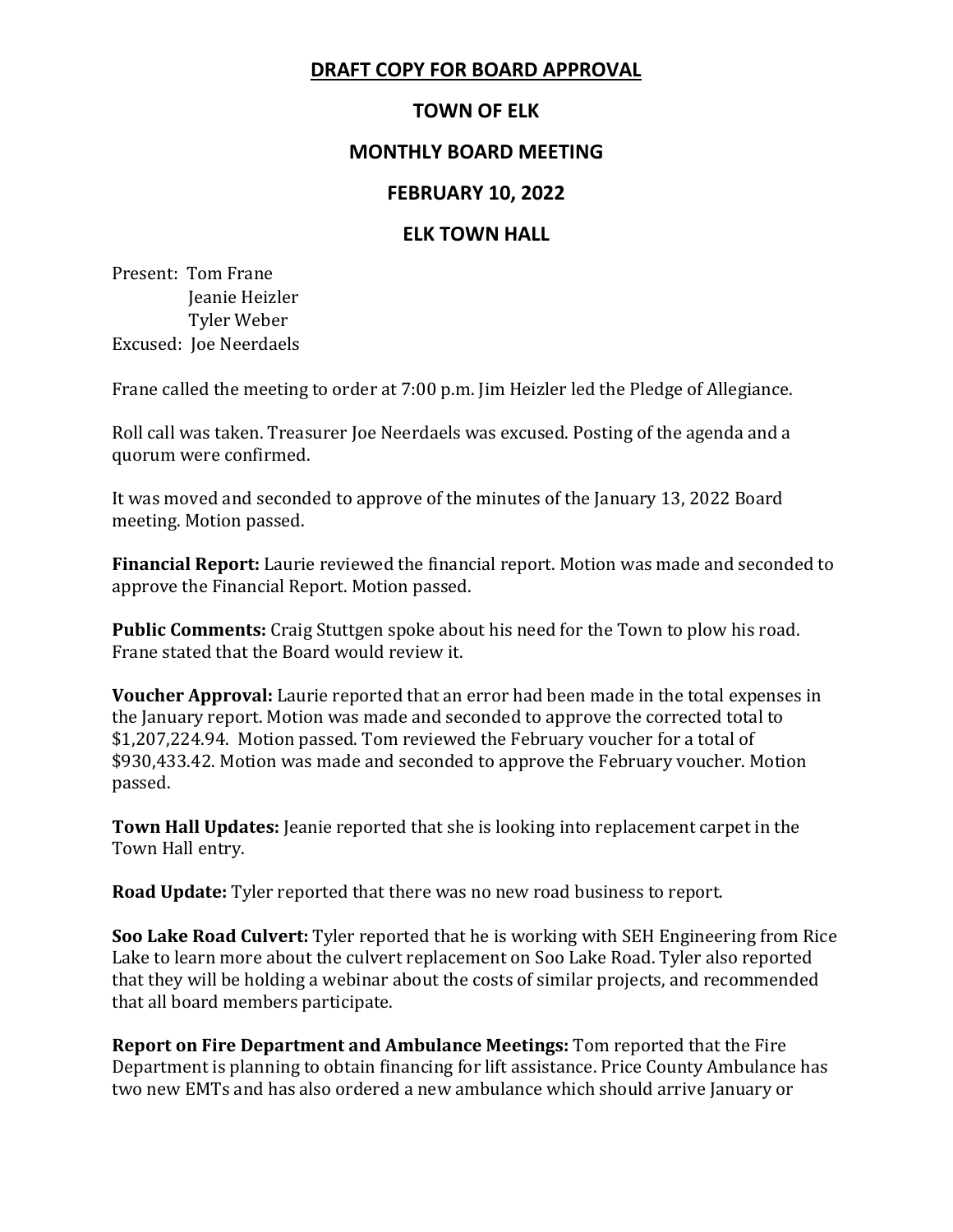# **DRAFT COPY FOR BOARD APPROVAL**

# **TOWN OF ELK**

### **MONTHLY BOARD MEETING**

#### **FEBRUARY 10, 2022**

#### **ELK TOWN HALL**

Present: Tom Frane Jeanie Heizler Tyler Weber Excused: Joe Neerdaels

Frane called the meeting to order at 7:00 p.m. Jim Heizler led the Pledge of Allegiance.

Roll call was taken. Treasurer Joe Neerdaels was excused. Posting of the agenda and a quorum were confirmed.

It was moved and seconded to approve of the minutes of the January 13, 2022 Board meeting. Motion passed.

**Financial Report:** Laurie reviewed the financial report. Motion was made and seconded to approve the Financial Report. Motion passed.

**Public Comments:** Craig Stuttgen spoke about his need for the Town to plow his road. Frane stated that the Board would review it.

**Voucher Approval:** Laurie reported that an error had been made in the total expenses in the January report. Motion was made and seconded to approve the corrected total to \$1,207,224.94. Motion passed. Tom reviewed the February voucher for a total of \$930,433.42. Motion was made and seconded to approve the February voucher. Motion passed.

**Town Hall Updates:** Jeanie reported that she is looking into replacement carpet in the Town Hall entry.

**Road Update:** Tyler reported that there was no new road business to report.

**Soo Lake Road Culvert:** Tyler reported that he is working with SEH Engineering from Rice Lake to learn more about the culvert replacement on Soo Lake Road. Tyler also reported that they will be holding a webinar about the costs of similar projects, and recommended that all board members participate.

**Report on Fire Department and Ambulance Meetings:** Tom reported that the Fire Department is planning to obtain financing for lift assistance. Price County Ambulance has two new EMTs and has also ordered a new ambulance which should arrive January or